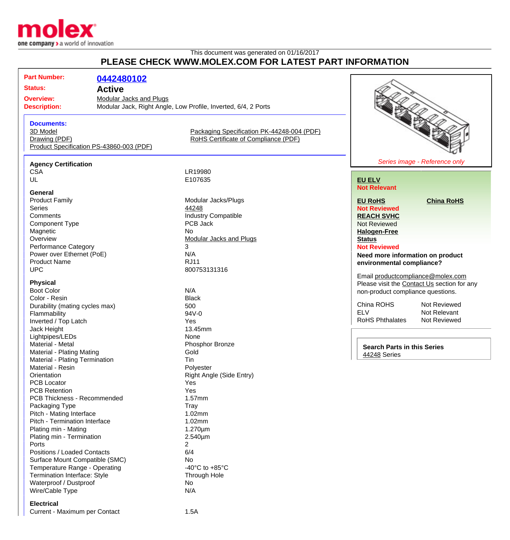

## This document was generated on 01/16/2017 **PLEASE CHECK WWW.MOLEX.COM FOR LATEST PART INFORMATION**

# **Part Number: [0442480102](http://www.molex.com/molex/products/datasheet.jsp?part=active/0442480102_MODULAR_JACKS_PLUG.xml&channel=Products&Lang=en-US) Status: Active Overview:** [Modular Jacks and Plugs](http://www.molex.com/molex/products/group?channel=products&key=modular_plugs_jacks) **Description:** Modular Jack, Right Angle, Low Profile, Inverted, 6/4, 2 Ports **Documents:** [3D Model](http://www.molex.com/molex/part/partModels.jsp?&prodLevel=part&series=&partNo=442480102&channel=Products) [Packaging Specification PK-44248-004 \(PDF\)](http://www.molex.com/pdm_docs/pk/PK-44248-004.pdf) [Drawing \(PDF\)](http://www.molex.com/pdm_docs/sd/442480102_sd.pdf) **Example 2 RoHS** Certificate of Compliance (PDF)

[Product Specification PS-43860-003 \(PDF\)](http://www.molex.com/pdm_docs/ps/PS-43860-003.pdf)

#### **Agency Certification**

**General**<br>**Product Family** Product Family **Modular Jacks/Plugs**<br>
Series 44248 Series **According to According the Series [44248](http://www.molex.com/molex/products/listview.jsp?query=44248&sType=s)** Comments<br>
Component Type<br>
Component Type<br>
COMPOS Jack<br>
PCB Jack Component Type Magnetic No.<br>
Overview Mo Performance Category 3 Power over Ethernet (PoE) N/A Product Name RJ11 UPC 800753131316

#### **Physical**

Boot Color N/A Color - Resin<br>
Durability (mating cycles max) 600 Durability (mating cycles max) Flammability 94V-0 Inverted / Top Latch Yes Jack Height **13.45mm** Lightpipes/LEDs None Material - Metal **Material - Metal** Phosphor Bronze Material - Plating Mating **Gold** Material - Plating Termination Tin Material - Resin **Polyester** Orientation **Right Angle (Side Entry)** PCB Locator **Yes** PCB Retention Yes PCB Thickness - Recommended 1.57mm Packaging Type Tray Pitch - Mating Interface 1.02mm Pitch - Termination Interface 1.02mm Plating min - Mating 1.270um Plating min - Termination 2.540um Ports 2 Positions / Loaded Contacts 6/4 Surface Mount Compatible (SMC) No Temperature Range - Operating  $-40^{\circ}$ C to +85°C Termination Interface: Style Through Hole Waterproof / Dustproof No Wire/Cable Type N/A

#### **Electrical**

Current - Maximum per Contact 1.5A

CSA LR19980<br>UL E107635 E107635

[Modular Jacks and Plugs](http://www.molex.com/molex/products/group?channel=products&key=modular_plugs_jacks)



#### **[EU ELV](http://www.molex.com/molex/common/staticLoader.jsp?fileName=/webcontent/literature/EU_RoHS.html#eurohs) Not Relevant**

**[EU RoHS](http://www.molex.com/molex/common/staticLoader.jsp?fileName=/cmc_upload/0/000/-12/201/EU_RoHS.html#eurohs) [China RoHS](http://www.molex.com/molex/common/staticLoader.jsp?fileName=/cmc_upload/0/000/-12/201/china_RoHS.html#china)**

**Not Reviewed [REACH SVHC](http://www.molex.com/molex/common/staticLoader.jsp?fileName=/webcontent/contact/reach.html)** Not Reviewed **[Halogen-Free](http://www.molex.com/molex/common/staticLoader.jsp?fileName=/webcontent/contact/halogen_free.html) [Status](http://www.molex.com/molex/common/staticLoader.jsp?fileName=/webcontent/contact/halogen_free.html)**

### **Not Reviewed**

**Need more information on product environmental compliance?**

Email [productcompliance@molex.com](mailto:productcompliance@molex.com) Please visit the [Contact Us](http://www.molex.com/molex/contact/mxcontact.jsp?channel=Contact Us&channelId=-7) section for any non-product compliance questions.

China ROHS Not Reviewed<br>FLV Not Relevant RoHS Phthalates

Not Relevant<br>Not Reviewed

**Search Parts in this Series** [44248](http://www.molex.com/molex/products/listview.jsp?query=44248&sType=s) Series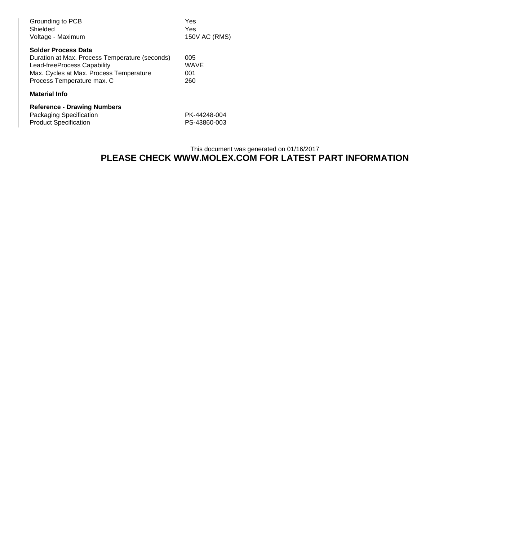| Grounding to PCB<br>Shielded<br>Voltage - Maximum                                                                                                                                    | Yes<br>Yes<br>150V AC (RMS)  |
|--------------------------------------------------------------------------------------------------------------------------------------------------------------------------------------|------------------------------|
| <b>Solder Process Data</b><br>Duration at Max. Process Temperature (seconds)<br>Lead-freeProcess Capability<br>Max. Cycles at Max. Process Temperature<br>Process Temperature max. C | 005<br>WAVE<br>001<br>260    |
| <b>Material Info</b>                                                                                                                                                                 |                              |
| <b>Reference - Drawing Numbers</b><br>Packaging Specification<br><b>Product Specification</b>                                                                                        | PK-44248-004<br>PS-43860-003 |

# This document was generated on 01/16/2017 **PLEASE CHECK WWW.MOLEX.COM FOR LATEST PART INFORMATION**